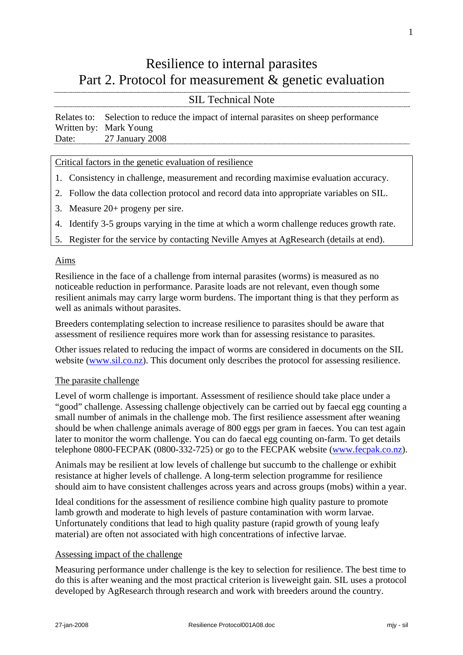## Resilience to internal parasites Part 2. Protocol for measurement & genetic evaluation

## SIL Technical Note

Relates to: Selection to reduce the impact of internal parasites on sheep performance Written by: Mark Young Date: 27 January 2008

Critical factors in the genetic evaluation of resilience

- 1. Consistency in challenge, measurement and recording maximise evaluation accuracy.
- 2. Follow the data collection protocol and record data into appropriate variables on SIL.
- 3. Measure 20+ progeny per sire.
- 4. Identify 3-5 groups varying in the time at which a worm challenge reduces growth rate.
- 5. Register for the service by contacting Neville Amyes at AgResearch (details at end).

#### Aims

Resilience in the face of a challenge from internal parasites (worms) is measured as no noticeable reduction in performance. Parasite loads are not relevant, even though some resilient animals may carry large worm burdens. The important thing is that they perform as well as animals without parasites.

Breeders contemplating selection to increase resilience to parasites should be aware that assessment of resilience requires more work than for assessing resistance to parasites.

Other issues related to reducing the impact of worms are considered in documents on the SIL website ([www.sil.co.nz\)](http://www.sil.co.nz/). This document only describes the protocol for assessing resilience.

## The parasite challenge

Level of worm challenge is important. Assessment of resilience should take place under a "good" challenge. Assessing challenge objectively can be carried out by faecal egg counting a small number of animals in the challenge mob. The first resilience assessment after weaning should be when challenge animals average of 800 eggs per gram in faeces. You can test again later to monitor the worm challenge. You can do faecal egg counting on-farm. To get details telephone 0800-FECPAK (0800-332-725) or go to the FECPAK website [\(www.fecpak.co.nz\)](http://www.fecpak.co.nz/).

Animals may be resilient at low levels of challenge but succumb to the challenge or exhibit resistance at higher levels of challenge. A long-term selection programme for resilience should aim to have consistent challenges across years and across groups (mobs) within a year.

Ideal conditions for the assessment of resilience combine high quality pasture to promote lamb growth and moderate to high levels of pasture contamination with worm larvae. Unfortunately conditions that lead to high quality pasture (rapid growth of young leafy material) are often not associated with high concentrations of infective larvae.

#### Assessing impact of the challenge

Measuring performance under challenge is the key to selection for resilience. The best time to do this is after weaning and the most practical criterion is liveweight gain. SIL uses a protocol developed by AgResearch through research and work with breeders around the country.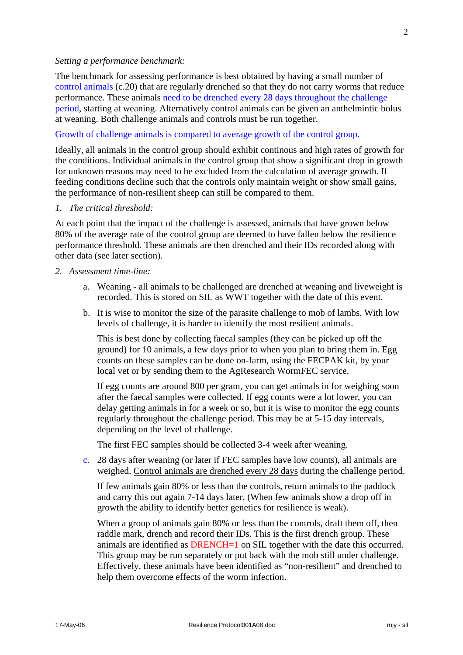#### *Setting a performance benchmark:*

The benchmark for assessing performance is best obtained by having a small number of control animals (c.20) that are regularly drenched so that they do not carry worms that reduce performance. These animals need to be drenched every 28 days throughout the challenge period, starting at weaning. Alternatively control animals can be given an anthelmintic bolus at weaning. Both challenge animals and controls must be run together.

#### Growth of challenge animals is compared to average growth of the control group.

Ideally, all animals in the control group should exhibit continous and high rates of growth for the conditions. Individual animals in the control group that show a significant drop in growth for unknown reasons may need to be excluded from the calculation of average growth. If feeding conditions decline such that the controls only maintain weight or show small gains, the performance of non-resilient sheep can still be compared to them.

#### *1. The critical threshold:*

At each point that the impact of the challenge is assessed, animals that have grown below 80% of the average rate of the control group are deemed to have fallen below the resilience performance threshold. These animals are then drenched and their IDs recorded along with other data (see later section).

- *2. Assessment time-line:* 
	- a. Weaning all animals to be challenged are drenched at weaning and liveweight is recorded. This is stored on SIL as WWT together with the date of this event.
	- b. It is wise to monitor the size of the parasite challenge to mob of lambs. With low levels of challenge, it is harder to identify the most resilient animals.

This is best done by collecting faecal samples (they can be picked up off the ground) for 10 animals, a few days prior to when you plan to bring them in. Egg counts on these samples can be done on-farm, using the FECPAK kit, by your local vet or by sending them to the AgResearch WormFEC service.

If egg counts are around 800 per gram, you can get animals in for weighing soon after the faecal samples were collected. If egg counts were a lot lower, you can delay getting animals in for a week or so, but it is wise to monitor the egg counts regularly throughout the challenge period. This may be at 5-15 day intervals, depending on the level of challenge.

The first FEC samples should be collected 3-4 week after weaning.

c. 28 days after weaning (or later if FEC samples have low counts), all animals are weighed. Control animals are drenched every 28 days during the challenge period.

If few animals gain 80% or less than the controls, return animals to the paddock and carry this out again 7-14 days later. (When few animals show a drop off in growth the ability to identify better genetics for resilience is weak).

When a group of animals gain 80% or less than the controls, draft them off, then raddle mark, drench and record their IDs. This is the first drench group. These animals are identified as **DRENCH**=1 on SIL together with the date this occurred. This group may be run separately or put back with the mob still under challenge. Effectively, these animals have been identified as "non-resilient" and drenched to help them overcome effects of the worm infection.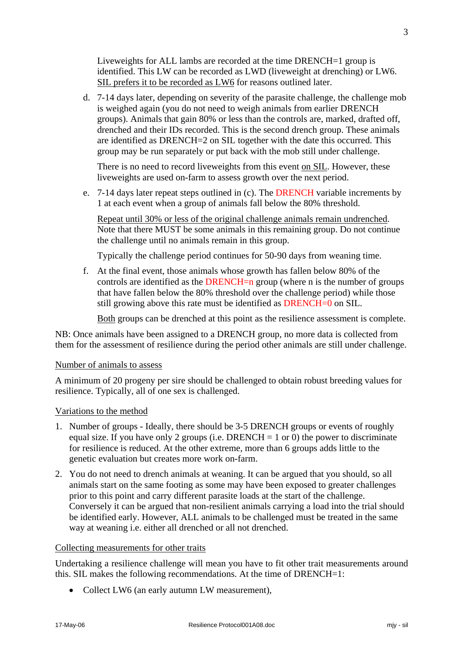Liveweights for ALL lambs are recorded at the time DRENCH=1 group is identified. This LW can be recorded as LWD (liveweight at drenching) or LW6. SIL prefers it to be recorded as LW6 for reasons outlined later.

d. 7-14 days later, depending on severity of the parasite challenge, the challenge mob is weighed again (you do not need to weigh animals from earlier DRENCH groups). Animals that gain 80% or less than the controls are, marked, drafted off, drenched and their IDs recorded. This is the second drench group. These animals are identified as DRENCH=2 on SIL together with the date this occurred. This group may be run separately or put back with the mob still under challenge.

There is no need to record liveweights from this event on SIL. However, these liveweights are used on-farm to assess growth over the next period.

e. 7-14 days later repeat steps outlined in (c). The DRENCH variable increments by 1 at each event when a group of animals fall below the 80% threshold.

Repeat until 30% or less of the original challenge animals remain undrenched. Note that there MUST be some animals in this remaining group. Do not continue the challenge until no animals remain in this group.

Typically the challenge period continues for 50-90 days from weaning time.

f. At the final event, those animals whose growth has fallen below 80% of the controls are identified as the DRENCH=n group (where n is the number of groups that have fallen below the 80% threshold over the challenge period) while those still growing above this rate must be identified as DRENCH=0 on SIL.

Both groups can be drenched at this point as the resilience assessment is complete.

NB: Once animals have been assigned to a DRENCH group, no more data is collected from them for the assessment of resilience during the period other animals are still under challenge.

#### Number of animals to assess

A minimum of 20 progeny per sire should be challenged to obtain robust breeding values for resilience. Typically, all of one sex is challenged.

## Variations to the method

- 1. Number of groups Ideally, there should be 3-5 DRENCH groups or events of roughly equal size. If you have only 2 groups (i.e. DRENCH = 1 or 0) the power to discriminate for resilience is reduced. At the other extreme, more than 6 groups adds little to the genetic evaluation but creates more work on-farm.
- 2. You do not need to drench animals at weaning. It can be argued that you should, so all animals start on the same footing as some may have been exposed to greater challenges prior to this point and carry different parasite loads at the start of the challenge. Conversely it can be argued that non-resilient animals carrying a load into the trial should be identified early. However, ALL animals to be challenged must be treated in the same way at weaning i.e. either all drenched or all not drenched.

#### Collecting measurements for other traits

Undertaking a resilience challenge will mean you have to fit other trait measurements around this. SIL makes the following recommendations. At the time of DRENCH=1:

• Collect LW6 (an early autumn LW measurement),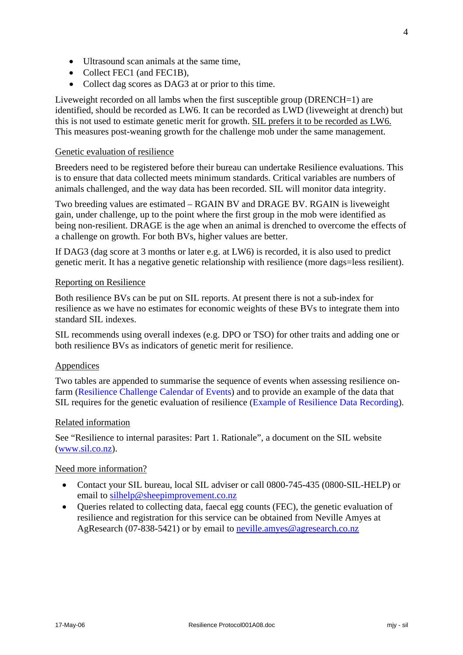- Ultrasound scan animals at the same time,
- Collect FEC1 (and FEC1B),
- Collect dag scores as DAG3 at or prior to this time.

Liveweight recorded on all lambs when the first susceptible group (DRENCH=1) are identified, should be recorded as LW6. It can be recorded as LWD (liveweight at drench) but this is not used to estimate genetic merit for growth. SIL prefers it to be recorded as LW6. This measures post-weaning growth for the challenge mob under the same management.

## Genetic evaluation of resilience

Breeders need to be registered before their bureau can undertake Resilience evaluations. This is to ensure that data collected meets minimum standards. Critical variables are numbers of animals challenged, and the way data has been recorded. SIL will monitor data integrity.

Two breeding values are estimated – RGAIN BV and DRAGE BV. RGAIN is liveweight gain, under challenge, up to the point where the first group in the mob were identified as being non-resilient. DRAGE is the age when an animal is drenched to overcome the effects of a challenge on growth. For both BVs, higher values are better.

If DAG3 (dag score at 3 months or later e.g. at LW6) is recorded, it is also used to predict genetic merit. It has a negative genetic relationship with resilience (more dags=less resilient).

## Reporting on Resilience

Both resilience BVs can be put on SIL reports. At present there is not a sub-index for resilience as we have no estimates for economic weights of these BVs to integrate them into standard SIL indexes.

SIL recommends using overall indexes (e.g. DPO or TSO) for other traits and adding one or both resilience BVs as indicators of genetic merit for resilience.

## Appendices

Two tables are appended to summarise the sequence of events when assessing resilience onfarm (Resilience Challenge Calendar of Events) and to provide an example of the data that SIL requires for the genetic evaluation of resilience (Example of Resilience Data Recording).

## Related information

See "Resilience to internal parasites: Part 1. Rationale", a document on the SIL website ([www.sil.co.nz\)](http://www.sil.co.nz/).

## Need more information?

- Contact your SIL bureau, local SIL adviser or call 0800-745-435 (0800-SIL-HELP) or email to [silhelp@sheepimprovement.co.nz](mailto:silhelp@sheepimprovement.co.nz)
- Oueries related to collecting data, faecal egg counts (FEC), the genetic evaluation of resilience and registration for this service can be obtained from Neville Amyes at AgResearch (07-838-5421) or by email to [neville.amyes@agresearch.co.nz](mailto:neville.amyes@agresearch.co.nz)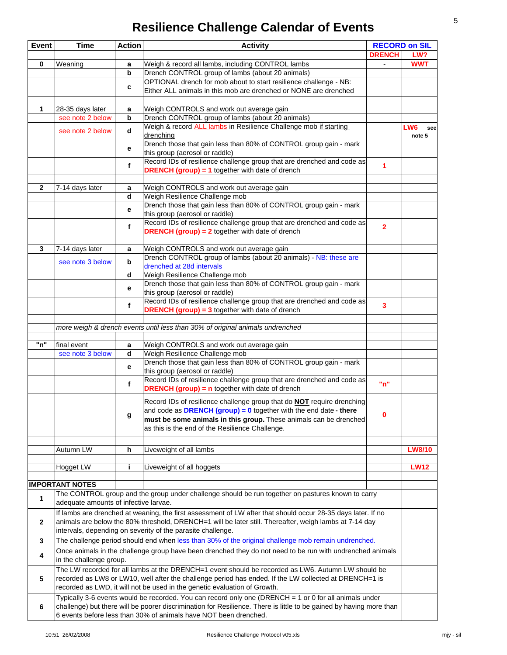# **Resilience Challenge Calendar of Events**

| <b>Event</b> | <b>Time</b>                           | <b>Action</b> | <b>Activity</b>                                                                                                             | <b>RECORD on SIL</b>    |                      |
|--------------|---------------------------------------|---------------|-----------------------------------------------------------------------------------------------------------------------------|-------------------------|----------------------|
|              |                                       |               |                                                                                                                             | <b>DRENCH</b>           | LW?                  |
| $\mathbf 0$  | Weaning                               | a             | Weigh & record all lambs, including CONTROL lambs                                                                           |                         | <b>WWT</b>           |
|              |                                       | b             | Drench CONTROL group of lambs (about 20 animals)                                                                            |                         |                      |
|              |                                       | c             | OPTIONAL drench for mob about to start resilience challenge - NB:                                                           |                         |                      |
|              |                                       |               | Either ALL animals in this mob are drenched or NONE are drenched                                                            |                         |                      |
|              |                                       |               |                                                                                                                             |                         |                      |
| 1            | 28-35 days later                      | a             | Weigh CONTROLS and work out average gain                                                                                    |                         |                      |
|              | see note 2 below                      | b             | Drench CONTROL group of lambs (about 20 animals)<br>Weigh & record <b>ALL lambs</b> in Resilience Challenge mob if starting |                         |                      |
|              | see note 2 below                      | d             | drenching                                                                                                                   |                         | LW6<br>see<br>note 5 |
|              |                                       | е             | Drench those that gain less than 80% of CONTROL group gain - mark<br>this group (aerosol or raddle)                         |                         |                      |
|              |                                       | f             | Record IDs of resilience challenge group that are drenched and code as                                                      | 1                       |                      |
|              |                                       |               | <b>DRENCH (group) = 1</b> together with date of drench                                                                      |                         |                      |
|              |                                       |               |                                                                                                                             |                         |                      |
| $\mathbf{2}$ | 7-14 days later                       | a             | Weigh CONTROLS and work out average gain                                                                                    |                         |                      |
|              |                                       | d             | Weigh Resilience Challenge mob<br>Drench those that gain less than 80% of CONTROL group gain - mark                         |                         |                      |
|              |                                       | е             | this group (aerosol or raddle)                                                                                              |                         |                      |
|              |                                       |               | Record IDs of resilience challenge group that are drenched and code as                                                      |                         |                      |
|              |                                       | $\mathbf{f}$  | <b>DRENCH (group) = 2</b> together with date of drench                                                                      | $\overline{2}$          |                      |
|              |                                       |               |                                                                                                                             |                         |                      |
| 3            | 7-14 days later                       | a             | Weigh CONTROLS and work out average gain                                                                                    |                         |                      |
|              | see note 3 below                      | b             | Drench CONTROL group of lambs (about 20 animals) - NB: these are                                                            |                         |                      |
|              |                                       |               | drenched at 28d intervals                                                                                                   |                         |                      |
|              |                                       | d             | Weigh Resilience Challenge mob                                                                                              |                         |                      |
|              |                                       | е             | Drench those that gain less than 80% of CONTROL group gain - mark                                                           |                         |                      |
|              |                                       |               | this group (aerosol or raddle)                                                                                              |                         |                      |
|              |                                       | $\mathbf{f}$  | Record IDs of resilience challenge group that are drenched and code as                                                      | $\overline{\mathbf{3}}$ |                      |
|              |                                       |               | <b>DRENCH (group) = 3</b> together with date of drench                                                                      |                         |                      |
|              |                                       |               |                                                                                                                             |                         |                      |
|              |                                       |               | more weigh & drench events until less than 30% of original animals undrenched                                               |                         |                      |
| "n"          | final event                           |               | Weigh CONTROLS and work out average gain                                                                                    |                         |                      |
|              | see note 3 below                      | a<br>d        | Weigh Resilience Challenge mob                                                                                              |                         |                      |
|              |                                       |               | Drench those that gain less than 80% of CONTROL group gain - mark                                                           |                         |                      |
|              |                                       | е             | this group (aerosol or raddle)                                                                                              |                         |                      |
|              |                                       |               | Record IDs of resilience challenge group that are drenched and code as                                                      |                         |                      |
|              |                                       | $\mathbf{f}$  | <b>DRENCH (group) = n</b> together with date of drench                                                                      | "n"                     |                      |
|              |                                       |               |                                                                                                                             |                         |                      |
|              |                                       |               | Record IDs of resilience challenge group that do <b>NOT</b> require drenching                                               |                         |                      |
|              |                                       | g             | and code as $DRENCH (group) = 0$ together with the end date - there                                                         | $\mathbf 0$             |                      |
|              |                                       |               | must be some animals in this group. These animals can be drenched<br>as this is the end of the Resilience Challenge.        |                         |                      |
|              |                                       |               |                                                                                                                             |                         |                      |
|              |                                       |               |                                                                                                                             |                         |                      |
|              | Autumn LW                             | h             | Liveweight of all lambs                                                                                                     |                         | <b>LW8/10</b>        |
|              | Hogget LW                             | j.            | Liveweight of all hoggets                                                                                                   |                         | <b>LW12</b>          |
|              |                                       |               |                                                                                                                             |                         |                      |
|              | <b>IMPORTANT NOTES</b>                |               |                                                                                                                             |                         |                      |
| $\mathbf{1}$ |                                       |               | The CONTROL group and the group under challenge should be run together on pastures known to carry                           |                         |                      |
|              | adequate amounts of infective larvae. |               |                                                                                                                             |                         |                      |
|              |                                       |               | If lambs are drenched at weaning, the first assessment of LW after that should occur 28-35 days later. If no                |                         |                      |
| $\mathbf{2}$ |                                       |               | animals are below the 80% threshold, DRENCH=1 will be later still. Thereafter, weigh lambs at 7-14 day                      |                         |                      |
|              |                                       |               | intervals, depending on severity of the parasite challenge.                                                                 |                         |                      |
| 3            |                                       |               | The challenge period should end when less than 30% of the original challenge mob remain undrenched.                         |                         |                      |
|              |                                       |               | Once animals in the challenge group have been drenched they do not need to be run with undrenched animals                   |                         |                      |
| 4            | in the challenge group.               |               |                                                                                                                             |                         |                      |
|              |                                       |               | The LW recorded for all lambs at the DRENCH=1 event should be recorded as LW6. Autumn LW should be                          |                         |                      |
| 5            |                                       |               | recorded as LW8 or LW10, well after the challenge period has ended. If the LW collected at DRENCH=1 is                      |                         |                      |
|              |                                       |               | recorded as LWD, it will not be used in the genetic evaluation of Growth.                                                   |                         |                      |
|              |                                       |               | Typically 3-6 events would be recorded. You can record only one (DRENCH = 1 or 0 for all animals under                      |                         |                      |
| 6            |                                       |               | challenge) but there will be poorer discrimination for Resilience. There is little to be gained by having more than         |                         |                      |
|              |                                       |               | 6 events before less than 30% of animals have NOT been drenched.                                                            |                         |                      |